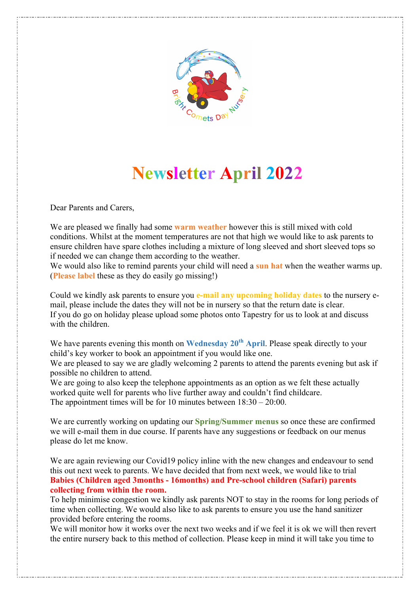

# **Newsletter April 2022**

Dear Parents and Carers,

We are pleased we finally had some **warm weather** however this is still mixed with cold conditions. Whilst at the moment temperatures are not that high we would like to ask parents to ensure children have spare clothes including a mixture of long sleeved and short sleeved tops so if needed we can change them according to the weather.

We would also like to remind parents your child will need a **sun hat** when the weather warms up. (**Please label** these as they do easily go missing!)

Could we kindly ask parents to ensure you **e-mail any upcoming holiday dates** to the nursery email, please include the dates they will not be in nursery so that the return date is clear. If you do go on holiday please upload some photos onto Tapestry for us to look at and discuss with the children.

We have parents evening this month on **Wednesday 20<sup>th</sup> April**. Please speak directly to your child's key worker to book an appointment if you would like one.

We are pleased to say we are gladly welcoming 2 parents to attend the parents evening but ask if possible no children to attend.

We are going to also keep the telephone appointments as an option as we felt these actually worked quite well for parents who live further away and couldn't find childcare. The appointment times will be for 10 minutes between 18:30 – 20:00.

We are currently working on updating our **Spring/Summer menus** so once these are confirmed we will e-mail them in due course. If parents have any suggestions or feedback on our menus please do let me know.

We are again reviewing our Covid19 policy inline with the new changes and endeavour to send this out next week to parents. We have decided that from next week, we would like to trial **Babies (Children aged 3months - 16months) and Pre-school children (Safari) parents collecting from within the room.**

To help minimise congestion we kindly ask parents NOT to stay in the rooms for long periods of time when collecting. We would also like to ask parents to ensure you use the hand sanitizer provided before entering the rooms.

We will monitor how it works over the next two weeks and if we feel it is ok we will then revert the entire nursery back to this method of collection. Please keep in mind it will take you time to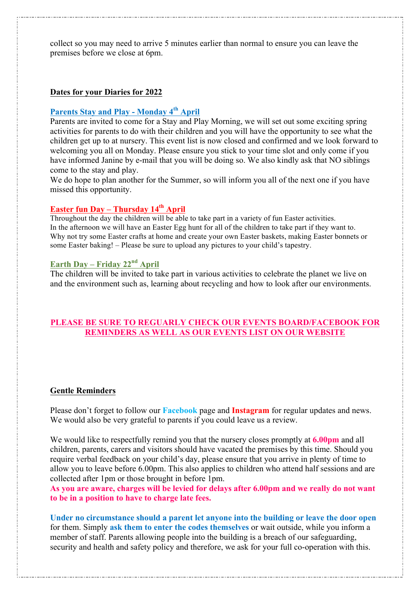collect so you may need to arrive 5 minutes earlier than normal to ensure you can leave the premises before we close at 6pm.

#### **Dates for your Diaries for 2022**

## **Parents Stay and Play - Monday 4th April**

Parents are invited to come for a Stay and Play Morning, we will set out some exciting spring activities for parents to do with their children and you will have the opportunity to see what the children get up to at nursery. This event list is now closed and confirmed and we look forward to welcoming you all on Monday. Please ensure you stick to your time slot and only come if you have informed Janine by e-mail that you will be doing so. We also kindly ask that NO siblings come to the stay and play.

We do hope to plan another for the Summer, so will inform you all of the next one if you have missed this opportunity.

## **Easter fun Day – Thursday 14th April**

Throughout the day the children will be able to take part in a variety of fun Easter activities. In the afternoon we will have an Easter Egg hunt for all of the children to take part if they want to. Why not try some Easter crafts at home and create your own Easter baskets, making Easter bonnets or some Easter baking! – Please be sure to upload any pictures to your child's tapestry.

## **Earth Day – Friday 22nd April**

The children will be invited to take part in various activities to celebrate the planet we live on and the environment such as, learning about recycling and how to look after our environments.

#### **PLEASE BE SURE TO REGUARLY CHECK OUR EVENTS BOARD/FACEBOOK FOR REMINDERS AS WELL AS OUR EVENTS LIST ON OUR WEBSITE**

#### **Gentle Reminders**

Please don't forget to follow our **Facebook** page and **Instagram** for regular updates and news. We would also be very grateful to parents if you could leave us a review.

We would like to respectfully remind you that the nursery closes promptly at **6.00pm** and all children, parents, carers and visitors should have vacated the premises by this time. Should you require verbal feedback on your child's day, please ensure that you arrive in plenty of time to allow you to leave before 6.00pm. This also applies to children who attend half sessions and are collected after 1pm or those brought in before 1pm.

**As you are aware, charges will be levied for delays after 6.00pm and we really do not want to be in a position to have to charge late fees.**

**Under no circumstance should a parent let anyone into the building or leave the door open** for them. Simply **ask them to enter the codes themselves** or wait outside, while you inform a member of staff. Parents allowing people into the building is a breach of our safeguarding, security and health and safety policy and therefore, we ask for your full co-operation with this.